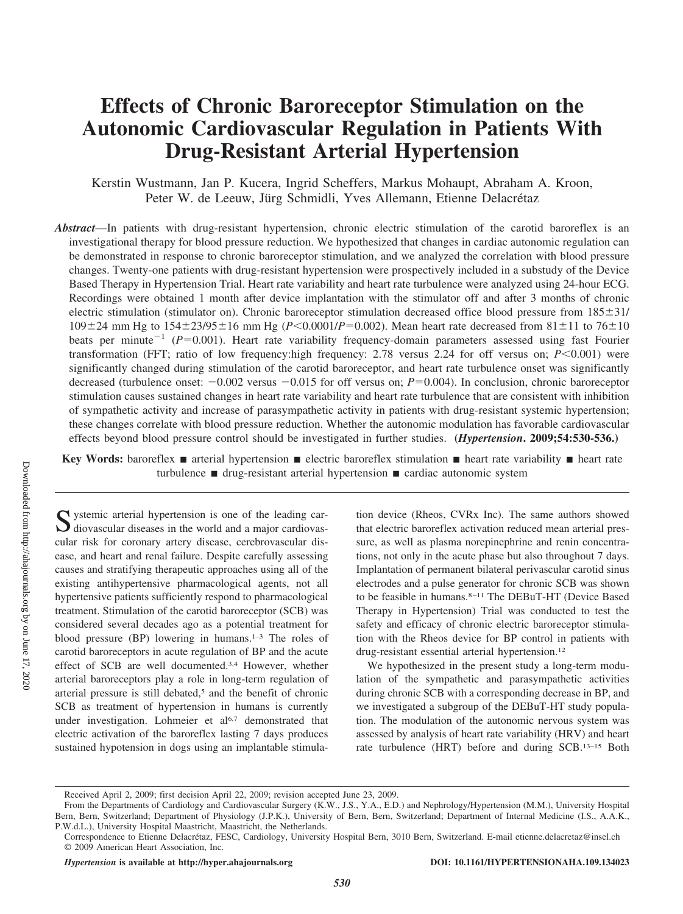# **Effects of Chronic Baroreceptor Stimulation on the Autonomic Cardiovascular Regulation in Patients With Drug-Resistant Arterial Hypertension**

Kerstin Wustmann, Jan P. Kucera, Ingrid Scheffers, Markus Mohaupt, Abraham A. Kroon, Peter W. de Leeuw, Jürg Schmidli, Yves Allemann, Etienne Delacrétaz

*Abstract*—In patients with drug-resistant hypertension, chronic electric stimulation of the carotid baroreflex is an investigational therapy for blood pressure reduction. We hypothesized that changes in cardiac autonomic regulation can be demonstrated in response to chronic baroreceptor stimulation, and we analyzed the correlation with blood pressure changes. Twenty-one patients with drug-resistant hypertension were prospectively included in a substudy of the Device Based Therapy in Hypertension Trial. Heart rate variability and heart rate turbulence were analyzed using 24-hour ECG. Recordings were obtained 1 month after device implantation with the stimulator off and after 3 months of chronic electric stimulation (stimulator on). Chronic baroreceptor stimulation decreased office blood pressure from  $185 \pm 31/$  $109 \pm 24$  mm Hg to  $154 \pm 23/95 \pm 16$  mm Hg ( $P \le 0.0001/P = 0.002$ ). Mean heart rate decreased from  $81 \pm 11$  to  $76 \pm 10$ beats per minute<sup>-1</sup> ( $P=0.001$ ). Heart rate variability frequency-domain parameters assessed using fast Fourier transformation (FFT; ratio of low frequency: high frequency: 2.78 versus 2.24 for off versus on; *P*<0.001) were significantly changed during stimulation of the carotid baroreceptor, and heart rate turbulence onset was significantly decreased (turbulence onset:  $-0.002$  versus  $-0.015$  for off versus on;  $P=0.004$ ). In conclusion, chronic baroreceptor stimulation causes sustained changes in heart rate variability and heart rate turbulence that are consistent with inhibition of sympathetic activity and increase of parasympathetic activity in patients with drug-resistant systemic hypertension; these changes correlate with blood pressure reduction. Whether the autonomic modulation has favorable cardiovascular effects beyond blood pressure control should be investigated in further studies. **(***Hypertension***. 2009;54:530-536.)**

**Key Words:** baroreflex  $\blacksquare$  arterial hypertension  $\blacksquare$  electric baroreflex stimulation  $\blacksquare$  heart rate variability  $\blacksquare$  heart rate turbulence  $\blacksquare$  drug-resistant arterial hypertension  $\blacksquare$  cardiac autonomic system

Systemic arterial hypertension is one of the leading car-<br>diovascular diseases in the world and a major cardiovascular risk for coronary artery disease, cerebrovascular disease, and heart and renal failure. Despite carefully assessing causes and stratifying therapeutic approaches using all of the existing antihypertensive pharmacological agents, not all hypertensive patients sufficiently respond to pharmacological treatment. Stimulation of the carotid baroreceptor (SCB) was considered several decades ago as a potential treatment for blood pressure (BP) lowering in humans.<sup>1-3</sup> The roles of carotid baroreceptors in acute regulation of BP and the acute effect of SCB are well documented.<sup>3,4</sup> However, whether arterial baroreceptors play a role in long-term regulation of arterial pressure is still debated,<sup>5</sup> and the benefit of chronic SCB as treatment of hypertension in humans is currently under investigation. Lohmeier et al<sup>6,7</sup> demonstrated that electric activation of the baroreflex lasting 7 days produces sustained hypotension in dogs using an implantable stimula-

tion device (Rheos, CVRx Inc). The same authors showed that electric baroreflex activation reduced mean arterial pressure, as well as plasma norepinephrine and renin concentrations, not only in the acute phase but also throughout 7 days. Implantation of permanent bilateral perivascular carotid sinus electrodes and a pulse generator for chronic SCB was shown to be feasible in humans.<sup>8-11</sup> The DEBuT-HT (Device Based Therapy in Hypertension) Trial was conducted to test the safety and efficacy of chronic electric baroreceptor stimulation with the Rheos device for BP control in patients with drug-resistant essential arterial hypertension.12

We hypothesized in the present study a long-term modulation of the sympathetic and parasympathetic activities during chronic SCB with a corresponding decrease in BP, and we investigated a subgroup of the DEBuT-HT study population. The modulation of the autonomic nervous system was assessed by analysis of heart rate variability (HRV) and heart rate turbulence (HRT) before and during SCB.13–15 Both

Received April 2, 2009; first decision April 22, 2009; revision accepted June 23, 2009.

From the Departments of Cardiology and Cardiovascular Surgery (K.W., J.S., Y.A., E.D.) and Nephrology/Hypertension (M.M.), University Hospital Bern, Bern, Switzerland; Department of Physiology (J.P.K.), University of Bern, Bern, Switzerland; Department of Internal Medicine (I.S., A.A.K., P.W.d.L.), University Hospital Maastricht, Maastricht, the Netherlands.

Correspondence to Etienne Delacrétaz, FESC, Cardiology, University Hospital Bern, 3010 Bern, Switzerland. E-mail etienne.delacretaz@insel.ch © 2009 American Heart Association, Inc.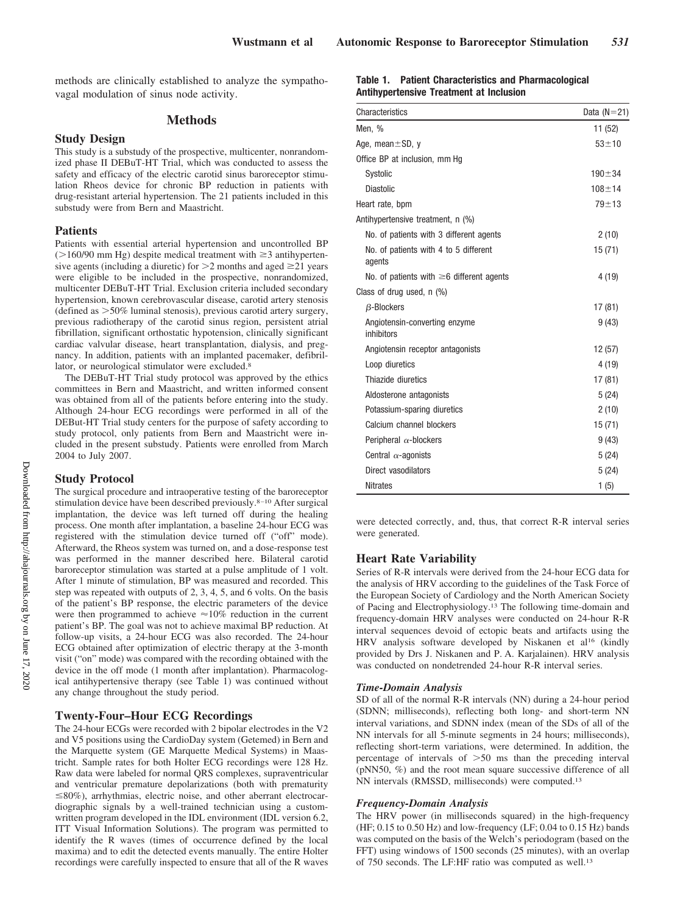methods are clinically established to analyze the sympathovagal modulation of sinus node activity.

## **Methods**

## **Study Design**

This study is a substudy of the prospective, multicenter, nonrandomized phase II DEBuT-HT Trial, which was conducted to assess the safety and efficacy of the electric carotid sinus baroreceptor stimulation Rheos device for chronic BP reduction in patients with drug-resistant arterial hypertension. The 21 patients included in this substudy were from Bern and Maastricht.

#### **Patients**

Patients with essential arterial hypertension and uncontrolled BP  $(>160/90$  mm Hg) despite medical treatment with  $\geq 3$  antihypertensive agents (including a diuretic) for  $>2$  months and aged  $\geq 21$  years were eligible to be included in the prospective, nonrandomized, multicenter DEBuT-HT Trial. Exclusion criteria included secondary hypertension, known cerebrovascular disease, carotid artery stenosis (defined as 50% luminal stenosis), previous carotid artery surgery, previous radiotherapy of the carotid sinus region, persistent atrial fibrillation, significant orthostatic hypotension, clinically significant cardiac valvular disease, heart transplantation, dialysis, and pregnancy. In addition, patients with an implanted pacemaker, defibrillator, or neurological stimulator were excluded.<sup>8</sup>

The DEBuT-HT Trial study protocol was approved by the ethics committees in Bern and Maastricht, and written informed consent was obtained from all of the patients before entering into the study. Although 24-hour ECG recordings were performed in all of the DEBut-HT Trial study centers for the purpose of safety according to study protocol, only patients from Bern and Maastricht were included in the present substudy. Patients were enrolled from March 2004 to July 2007.

### **Study Protocol**

The surgical procedure and intraoperative testing of the baroreceptor stimulation device have been described previously.<sup>8-10</sup> After surgical implantation, the device was left turned off during the healing process. One month after implantation, a baseline 24-hour ECG was registered with the stimulation device turned off ("off" mode). Afterward, the Rheos system was turned on, and a dose-response test was performed in the manner described here. Bilateral carotid baroreceptor stimulation was started at a pulse amplitude of 1 volt. After 1 minute of stimulation, BP was measured and recorded. This step was repeated with outputs of 2, 3, 4, 5, and 6 volts. On the basis of the patient's BP response, the electric parameters of the device were then programmed to achieve  $\approx 10\%$  reduction in the current patient's BP. The goal was not to achieve maximal BP reduction. At follow-up visits, a 24-hour ECG was also recorded. The 24-hour ECG obtained after optimization of electric therapy at the 3-month visit ("on" mode) was compared with the recording obtained with the device in the off mode (1 month after implantation). Pharmacological antihypertensive therapy (see Table 1) was continued without any change throughout the study period.

## **Twenty-Four–Hour ECG Recordings**

The 24-hour ECGs were recorded with 2 bipolar electrodes in the V2 and V5 positions using the CardioDay system (Getemed) in Bern and the Marquette system (GE Marquette Medical Systems) in Maastricht. Sample rates for both Holter ECG recordings were 128 Hz. Raw data were labeled for normal QRS complexes, supraventricular and ventricular premature depolarizations (both with prematurity  $\leq$ 80%), arrhythmias, electric noise, and other aberrant electrocardiographic signals by a well-trained technician using a customwritten program developed in the IDL environment (IDL version 6.2, ITT Visual Information Solutions). The program was permitted to identify the R waves (times of occurrence defined by the local maxima) and to edit the detected events manually. The entire Holter recordings were carefully inspected to ensure that all of the R waves

## **Table 1. Patient Characteristics and Pharmacological Antihypertensive Treatment at Inclusion**

| Characteristics                                 | Data $(N=21)$ |
|-------------------------------------------------|---------------|
| Men, %                                          | 11 (52)       |
| Age, mean±SD, v                                 | $53 + 10$     |
| Office BP at inclusion, mm Hg                   |               |
| Systolic                                        | $190 + 34$    |
| <b>Diastolic</b>                                | $108 + 14$    |
| Heart rate, bpm                                 | $79 + 13$     |
| Antihypertensive treatment, n (%)               |               |
| No. of patients with 3 different agents         | 2(10)         |
| No. of patients with 4 to 5 different<br>agents | 15(71)        |
| No. of patients with $\geq 6$ different agents  | 4 (19)        |
| Class of drug used, n (%)                       |               |
| $\beta$ -Blockers                               | 17(81)        |
| Angiotensin-converting enzyme<br>inhibitors     | 9(43)         |
| Angiotensin receptor antagonists                | 12(57)        |
| Loop diuretics                                  | 4 (19)        |
| Thiazide diuretics                              | 17(81)        |
| Aldosterone antagonists                         | 5(24)         |
| Potassium-sparing diuretics                     | 2(10)         |
| Calcium channel blockers                        | 15(71)        |
| Peripheral $\alpha$ -blockers                   | 9(43)         |
| Central $\alpha$ -agonists                      | 5(24)         |
| Direct vasodilators                             | 5(24)         |
| <b>Nitrates</b>                                 | 1(5)          |

were detected correctly, and, thus, that correct R-R interval series were generated.

### **Heart Rate Variability**

Series of R-R intervals were derived from the 24-hour ECG data for the analysis of HRV according to the guidelines of the Task Force of the European Society of Cardiology and the North American Society of Pacing and Electrophysiology.13 The following time-domain and frequency-domain HRV analyses were conducted on 24-hour R-R interval sequences devoid of ectopic beats and artifacts using the HRV analysis software developed by Niskanen et al<sup>16</sup> (kindly provided by Drs J. Niskanen and P. A. Karjalainen). HRV analysis was conducted on nondetrended 24-hour R-R interval series.

#### *Time-Domain Analysis*

SD of all of the normal R-R intervals (NN) during a 24-hour period (SDNN; milliseconds), reflecting both long- and short-term NN interval variations, and SDNN index (mean of the SDs of all of the NN intervals for all 5-minute segments in 24 hours; milliseconds), reflecting short-term variations, were determined. In addition, the percentage of intervals of  $>50$  ms than the preceding interval (pNN50, %) and the root mean square successive difference of all NN intervals (RMSSD, milliseconds) were computed.13

#### *Frequency-Domain Analysis*

The HRV power (in milliseconds squared) in the high-frequency (HF;  $0.15$  to  $0.50$  Hz) and low-frequency (LF;  $0.04$  to  $0.15$  Hz) bands was computed on the basis of the Welch's periodogram (based on the FFT) using windows of 1500 seconds (25 minutes), with an overlap of 750 seconds. The LF:HF ratio was computed as well.13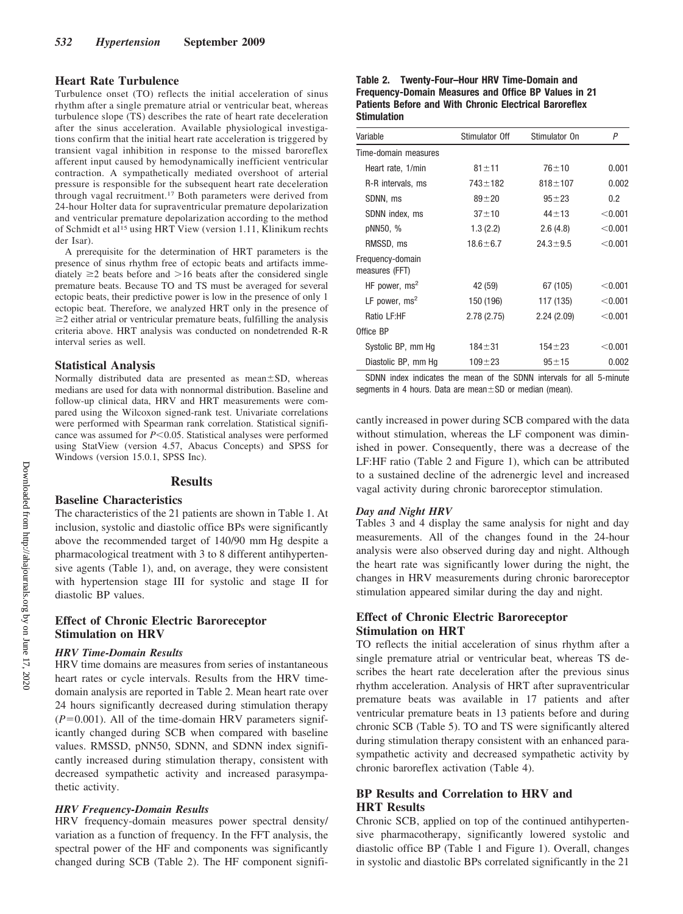## **Heart Rate Turbulence**

Turbulence onset (TO) reflects the initial acceleration of sinus rhythm after a single premature atrial or ventricular beat, whereas turbulence slope (TS) describes the rate of heart rate deceleration after the sinus acceleration. Available physiological investigations confirm that the initial heart rate acceleration is triggered by transient vagal inhibition in response to the missed baroreflex afferent input caused by hemodynamically inefficient ventricular contraction. A sympathetically mediated overshoot of arterial pressure is responsible for the subsequent heart rate deceleration through vagal recruitment.17 Both parameters were derived from 24-hour Holter data for supraventricular premature depolarization and ventricular premature depolarization according to the method of Schmidt et al15 using HRT View (version 1.11, Klinikum rechts der Isar).

A prerequisite for the determination of HRT parameters is the presence of sinus rhythm free of ectopic beats and artifacts immediately  $\geq$  beats before and  $>$ 16 beats after the considered single premature beats. Because TO and TS must be averaged for several ectopic beats, their predictive power is low in the presence of only 1 ectopic beat. Therefore, we analyzed HRT only in the presence of  $\geq$  2 either atrial or ventricular premature beats, fulfilling the analysis criteria above. HRT analysis was conducted on nondetrended R-R interval series as well.

### **Statistical Analysis**

Normally distributed data are presented as mean $\pm$ SD, whereas medians are used for data with nonnormal distribution. Baseline and follow-up clinical data, HRV and HRT measurements were compared using the Wilcoxon signed-rank test. Univariate correlations were performed with Spearman rank correlation. Statistical significance was assumed for *P*<0.05. Statistical analyses were performed using StatView (version 4.57, Abacus Concepts) and SPSS for Windows (version 15.0.1, SPSS Inc).

## **Results**

# **Baseline Characteristics**

The characteristics of the 21 patients are shown in Table 1. At inclusion, systolic and diastolic office BPs were significantly above the recommended target of 140/90 mm Hg despite a pharmacological treatment with 3 to 8 different antihypertensive agents (Table 1), and, on average, they were consistent with hypertension stage III for systolic and stage II for diastolic BP values.

# **Effect of Chronic Electric Baroreceptor Stimulation on HRV**

## *HRV Time-Domain Results*

HRV time domains are measures from series of instantaneous heart rates or cycle intervals. Results from the HRV timedomain analysis are reported in Table 2. Mean heart rate over 24 hours significantly decreased during stimulation therapy  $(P=0.001)$ . All of the time-domain HRV parameters significantly changed during SCB when compared with baseline values. RMSSD, pNN50, SDNN, and SDNN index significantly increased during stimulation therapy, consistent with decreased sympathetic activity and increased parasympathetic activity.

### *HRV Frequency-Domain Results*

HRV frequency-domain measures power spectral density/ variation as a function of frequency. In the FFT analysis, the spectral power of the HF and components was significantly changed during SCB (Table 2). The HF component signifi-

## **Table 2. Twenty-Four–Hour HRV Time-Domain and Frequency-Domain Measures and Office BP Values in 21 Patients Before and With Chronic Electrical Baroreflex Stimulation**

| Variable                           | Stimulator Off | Stimulator On  | P       |
|------------------------------------|----------------|----------------|---------|
| Time-domain measures               |                |                |         |
| Heart rate, 1/min                  | $81 + 11$      | $76 + 10$      | 0.001   |
| R-R intervals, ms                  | $743 + 182$    | $818 + 107$    | 0.002   |
| SDNN, ms                           | $89 + 20$      | $95 + 23$      | $0.2\,$ |
| SDNN index, ms                     | $37 + 10$      | $44 + 13$      | < 0.001 |
| pNN50, %                           | 1.3(2.2)       | 2.6(4.8)       | < 0.001 |
| RMSSD, ms                          | $18.6 \pm 6.7$ | $24.3 \pm 9.5$ | < 0.001 |
| Frequency-domain<br>measures (FFT) |                |                |         |
| HF power, $ms^2$                   | 42 (59)        | 67 (105)       | < 0.001 |
| LF power, $ms^2$                   | 150 (196)      | 117 (135)      | < 0.001 |
| Ratio LF:HF                        | 2.78(2.75)     | 2.24(2.09)     | < 0.001 |
| Office BP                          |                |                |         |
| Systolic BP, mm Hq                 | $184 + 31$     | $154 + 23$     | < 0.001 |
| Diastolic BP, mm Hq                | $109 + 23$     | $95 + 15$      | 0.002   |
| .                                  |                |                |         |

SDNN index indicates the mean of the SDNN intervals for all 5-minute segments in 4 hours. Data are mean $\pm$ SD or median (mean).

cantly increased in power during SCB compared with the data without stimulation, whereas the LF component was diminished in power. Consequently, there was a decrease of the LF:HF ratio (Table 2 and Figure 1), which can be attributed to a sustained decline of the adrenergic level and increased vagal activity during chronic baroreceptor stimulation.

#### *Day and Night HRV*

Tables 3 and 4 display the same analysis for night and day measurements. All of the changes found in the 24-hour analysis were also observed during day and night. Although the heart rate was significantly lower during the night, the changes in HRV measurements during chronic baroreceptor stimulation appeared similar during the day and night.

## **Effect of Chronic Electric Baroreceptor Stimulation on HRT**

TO reflects the initial acceleration of sinus rhythm after a single premature atrial or ventricular beat, whereas TS describes the heart rate deceleration after the previous sinus rhythm acceleration. Analysis of HRT after supraventricular premature beats was available in 17 patients and after ventricular premature beats in 13 patients before and during chronic SCB (Table 5). TO and TS were significantly altered during stimulation therapy consistent with an enhanced parasympathetic activity and decreased sympathetic activity by chronic baroreflex activation (Table 4).

# **BP Results and Correlation to HRV and HRT Results**

Chronic SCB, applied on top of the continued antihypertensive pharmacotherapy, significantly lowered systolic and diastolic office BP (Table 1 and Figure 1). Overall, changes in systolic and diastolic BPs correlated significantly in the 21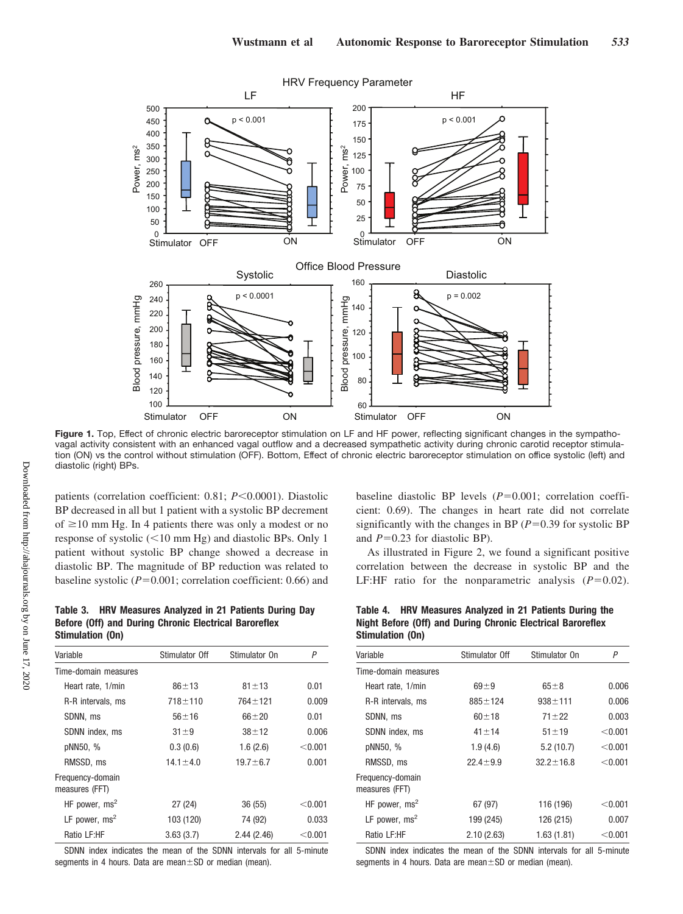

**Figure 1.** Top, Effect of chronic electric baroreceptor stimulation on LF and HF power, reflecting significant changes in the sympathovagal activity consistent with an enhanced vagal outflow and a decreased sympathetic activity during chronic carotid receptor stimulation (ON) vs the control without stimulation (OFF). Bottom, Effect of chronic electric baroreceptor stimulation on office systolic (left) and diastolic (right) BPs.

patients (correlation coefficient: 0.81; *P*<0.0001). Diastolic BP decreased in all but 1 patient with a systolic BP decrement of  $\geq 10$  mm Hg. In 4 patients there was only a modest or no response of systolic  $(< 10$  mm Hg) and diastolic BPs. Only 1 patient without systolic BP change showed a decrease in diastolic BP. The magnitude of BP reduction was related to baseline systolic  $(P=0.001;$  correlation coefficient: 0.66) and

**Table 3. HRV Measures Analyzed in 21 Patients During Day Before (Off) and During Chronic Electrical Baroreflex Stimulation (On)**

| Variable                           | Stimulator Off | Stimulator On  | P       |
|------------------------------------|----------------|----------------|---------|
| Time-domain measures               |                |                |         |
| Heart rate, 1/min                  | $86 + 13$      | $81 + 13$      | 0.01    |
| R-R intervals, ms                  | $718 + 110$    | 764±121        | 0.009   |
| SDNN, ms                           | $56 + 16$      | $66 + 20$      | 0.01    |
| SDNN index, ms                     | $31 \pm 9$     | $38 + 12$      | 0.006   |
| pNN50, %                           | 0.3(0.6)       | 1.6(2.6)       | < 0.001 |
| RMSSD, ms                          | $14.1 \pm 4.0$ | $19.7 \pm 6.7$ | 0.001   |
| Frequency-domain<br>measures (FFT) |                |                |         |
| HF power, $ms^2$                   | 27(24)         | 36(55)         | < 0.001 |
| LF power, $ms^2$                   | 103 (120)      | 74 (92)        | 0.033   |
| Ratio LF:HF                        | 3.63(3.7)      | 2.44(2.46)     | < 0.001 |

SDNN index indicates the mean of the SDNN intervals for all 5-minute segments in 4 hours. Data are mean $\pm$ SD or median (mean).

baseline diastolic BP levels  $(P=0.001$ ; correlation coefficient: 0.69). The changes in heart rate did not correlate significantly with the changes in BP  $(P=0.39$  for systolic BP and  $P=0.23$  for diastolic BP).

As illustrated in Figure 2, we found a significant positive correlation between the decrease in systolic BP and the LF:HF ratio for the nonparametric analysis  $(P=0.02)$ .

|                  |  | Table 4. HRV Measures Analvzed in 21 Patients During the    |  |
|------------------|--|-------------------------------------------------------------|--|
|                  |  | Night Before (Off) and During Chronic Electrical Baroreflex |  |
| Stimulation (On) |  |                                                             |  |

| Variable                           | Stimulator Off | Stimulator On   | P       |
|------------------------------------|----------------|-----------------|---------|
| Time-domain measures               |                |                 |         |
| Heart rate, 1/min                  | $69 + 9$       | $65 + 8$        | 0.006   |
| R-R intervals, ms                  | $885 + 124$    | $938 + 111$     | 0.006   |
| SDNN, ms                           | $60 + 18$      | $71 + 22$       | 0.003   |
| SDNN index, ms                     | $41 + 14$      | $51 + 19$       | < 0.001 |
| pNN50, %                           | 1.9(4.6)       | 5.2(10.7)       | < 0.001 |
| RMSSD, ms                          | $22.4 \pm 9.9$ | $32.2 \pm 16.8$ | < 0.001 |
| Frequency-domain<br>measures (FFT) |                |                 |         |
| HF power, $ms^2$                   | 67 (97)        | 116 (196)       | < 0.001 |
| LF power, $ms^2$                   | 199 (245)      | 126 (215)       | 0.007   |
| Ratio LF:HF                        | 2.10(2.63)     | 1.63(1.81)      | < 0.001 |

SDNN index indicates the mean of the SDNN intervals for all 5-minute segments in 4 hours. Data are mean $\pm$ SD or median (mean).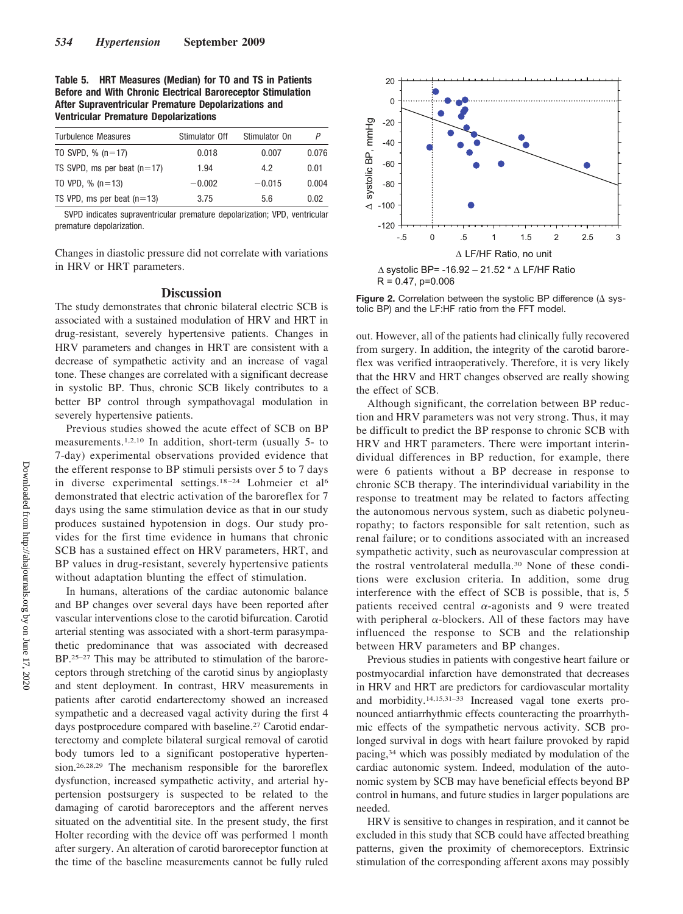**Table 5. HRT Measures (Median) for TO and TS in Patients Before and With Chronic Electrical Baroreceptor Stimulation After Supraventricular Premature Depolarizations and Ventricular Premature Depolarizations**

| <b>Turbulence Measures</b>    | Stimulator Off | Stimulator On |       |
|-------------------------------|----------------|---------------|-------|
| TO SVPD, $% (n=17)$           | 0.018          | 0.007         | 0.076 |
| TS SVPD, ms per beat $(n=17)$ | 1.94           | 4.2           | 0.01  |
| TO VPD, $\%$ (n=13)           | $-0.002$       | $-0.015$      | 0.004 |
| TS VPD, ms per beat $(n=13)$  | 3.75           | 5.6           | 0.02  |

SVPD indicates supraventricular premature depolarization; VPD, ventricular premature depolarization.

Changes in diastolic pressure did not correlate with variations in HRV or HRT parameters.

## **Discussion**

The study demonstrates that chronic bilateral electric SCB is associated with a sustained modulation of HRV and HRT in drug-resistant, severely hypertensive patients. Changes in HRV parameters and changes in HRT are consistent with a decrease of sympathetic activity and an increase of vagal tone. These changes are correlated with a significant decrease in systolic BP. Thus, chronic SCB likely contributes to a better BP control through sympathovagal modulation in severely hypertensive patients.

Previous studies showed the acute effect of SCB on BP measurements.1,2,10 In addition, short-term (usually 5- to 7-day) experimental observations provided evidence that the efferent response to BP stimuli persists over 5 to 7 days in diverse experimental settings.<sup>18-24</sup> Lohmeier et al<sup>6</sup> demonstrated that electric activation of the baroreflex for 7 days using the same stimulation device as that in our study produces sustained hypotension in dogs. Our study provides for the first time evidence in humans that chronic SCB has a sustained effect on HRV parameters, HRT, and BP values in drug-resistant, severely hypertensive patients without adaptation blunting the effect of stimulation.

In humans, alterations of the cardiac autonomic balance and BP changes over several days have been reported after vascular interventions close to the carotid bifurcation. Carotid arterial stenting was associated with a short-term parasympathetic predominance that was associated with decreased BP.25–27 This may be attributed to stimulation of the baroreceptors through stretching of the carotid sinus by angioplasty and stent deployment. In contrast, HRV measurements in patients after carotid endarterectomy showed an increased sympathetic and a decreased vagal activity during the first 4 days postprocedure compared with baseline.<sup>27</sup> Carotid endarterectomy and complete bilateral surgical removal of carotid body tumors led to a significant postoperative hypertension.26,28,29 The mechanism responsible for the baroreflex dysfunction, increased sympathetic activity, and arterial hypertension postsurgery is suspected to be related to the damaging of carotid baroreceptors and the afferent nerves situated on the adventitial site. In the present study, the first Holter recording with the device off was performed 1 month after surgery. An alteration of carotid baroreceptor function at the time of the baseline measurements cannot be fully ruled



**Figure 2.** Correlation between the systolic BP difference  $(\Delta s)$ systolic BP) and the LF:HF ratio from the FFT model.

out. However, all of the patients had clinically fully recovered from surgery. In addition, the integrity of the carotid baroreflex was verified intraoperatively. Therefore, it is very likely that the HRV and HRT changes observed are really showing the effect of SCB.

Although significant, the correlation between BP reduction and HRV parameters was not very strong. Thus, it may be difficult to predict the BP response to chronic SCB with HRV and HRT parameters. There were important interindividual differences in BP reduction, for example, there were 6 patients without a BP decrease in response to chronic SCB therapy. The interindividual variability in the response to treatment may be related to factors affecting the autonomous nervous system, such as diabetic polyneuropathy; to factors responsible for salt retention, such as renal failure; or to conditions associated with an increased sympathetic activity, such as neurovascular compression at the rostral ventrolateral medulla.30 None of these conditions were exclusion criteria. In addition, some drug interference with the effect of SCB is possible, that is, 5 patients received central  $\alpha$ -agonists and 9 were treated with peripheral  $\alpha$ -blockers. All of these factors may have influenced the response to SCB and the relationship between HRV parameters and BP changes.

Previous studies in patients with congestive heart failure or postmyocardial infarction have demonstrated that decreases in HRV and HRT are predictors for cardiovascular mortality and morbidity.14,15,31–33 Increased vagal tone exerts pronounced antiarrhythmic effects counteracting the proarrhythmic effects of the sympathetic nervous activity. SCB prolonged survival in dogs with heart failure provoked by rapid pacing,34 which was possibly mediated by modulation of the cardiac autonomic system. Indeed, modulation of the autonomic system by SCB may have beneficial effects beyond BP control in humans, and future studies in larger populations are needed.

HRV is sensitive to changes in respiration, and it cannot be excluded in this study that SCB could have affected breathing patterns, given the proximity of chemoreceptors. Extrinsic stimulation of the corresponding afferent axons may possibly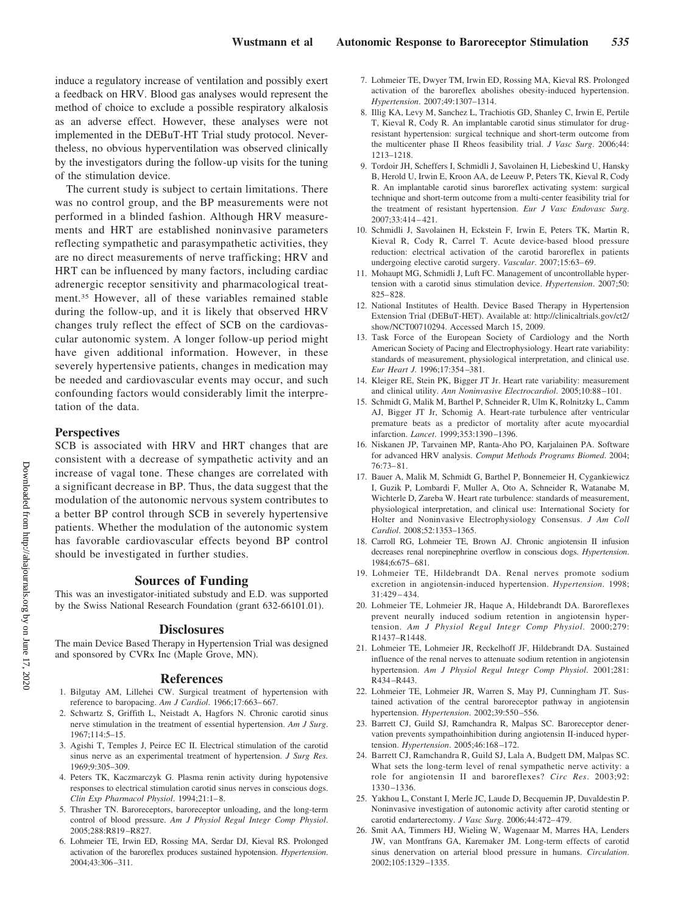induce a regulatory increase of ventilation and possibly exert a feedback on HRV. Blood gas analyses would represent the method of choice to exclude a possible respiratory alkalosis as an adverse effect. However, these analyses were not implemented in the DEBuT-HT Trial study protocol. Nevertheless, no obvious hyperventilation was observed clinically by the investigators during the follow-up visits for the tuning of the stimulation device.

The current study is subject to certain limitations. There was no control group, and the BP measurements were not performed in a blinded fashion. Although HRV measurements and HRT are established noninvasive parameters reflecting sympathetic and parasympathetic activities, they are no direct measurements of nerve trafficking; HRV and HRT can be influenced by many factors, including cardiac adrenergic receptor sensitivity and pharmacological treatment.35 However, all of these variables remained stable during the follow-up, and it is likely that observed HRV changes truly reflect the effect of SCB on the cardiovascular autonomic system. A longer follow-up period might have given additional information. However, in these severely hypertensive patients, changes in medication may be needed and cardiovascular events may occur, and such confounding factors would considerably limit the interpretation of the data.

## **Perspectives**

SCB is associated with HRV and HRT changes that are consistent with a decrease of sympathetic activity and an increase of vagal tone. These changes are correlated with a significant decrease in BP. Thus, the data suggest that the modulation of the autonomic nervous system contributes to a better BP control through SCB in severely hypertensive patients. Whether the modulation of the autonomic system has favorable cardiovascular effects beyond BP control should be investigated in further studies.

## **Sources of Funding**

This was an investigator-initiated substudy and E.D. was supported by the Swiss National Research Foundation (grant 632-66101.01).

### **Disclosures**

The main Device Based Therapy in Hypertension Trial was designed and sponsored by CVRx Inc (Maple Grove, MN).

### **References**

- 1. Bilgutay AM, Lillehei CW. Surgical treatment of hypertension with reference to baropacing. Am J Cardiol. 1966;17:663-667.
- 2. Schwartz S, Griffith L, Neistadt A, Hagfors N. Chronic carotid sinus nerve stimulation in the treatment of essential hypertension. *Am J Surg*. 1967;114:5–15.
- 3. Agishi T, Temples J, Peirce EC II. Electrical stimulation of the carotid sinus nerve as an experimental treatment of hypertension. *J Surg Res.* 1969;9:305–309.
- 4. Peters TK, Kaczmarczyk G. Plasma renin activity during hypotensive responses to electrical stimulation carotid sinus nerves in conscious dogs. *Clin Exp Pharmacol Physiol*. 1994;21:1– 8.
- 5. Thrasher TN. Baroreceptors, baroreceptor unloading, and the long-term control of blood pressure. *Am J Physiol Regul Integr Comp Physiol*. 2005;288:R819 –R827.
- 6. Lohmeier TE, Irwin ED, Rossing MA, Serdar DJ, Kieval RS. Prolonged activation of the baroreflex produces sustained hypotension. *Hypertension*. 2004;43:306 –311.
- 7. Lohmeier TE, Dwyer TM, Irwin ED, Rossing MA, Kieval RS. Prolonged activation of the baroreflex abolishes obesity-induced hypertension. *Hypertension*. 2007;49:1307–1314.
- 8. Illig KA, Levy M, Sanchez L, Trachiotis GD, Shanley C, Irwin E, Pertile T, Kieval R, Cody R. An implantable carotid sinus stimulator for drugresistant hypertension: surgical technique and short-term outcome from the multicenter phase II Rheos feasibility trial. *J Vasc Surg*. 2006;44: 1213–1218.
- 9. Tordoir JH, Scheffers I, Schmidli J, Savolainen H, Liebeskind U, Hansky B, Herold U, Irwin E, Kroon AA, de Leeuw P, Peters TK, Kieval R, Cody R. An implantable carotid sinus baroreflex activating system: surgical technique and short-term outcome from a multi-center feasibility trial for the treatment of resistant hypertension. *Eur J Vasc Endovasc Surg*. 2007;33:414 – 421.
- 10. Schmidli J, Savolainen H, Eckstein F, Irwin E, Peters TK, Martin R, Kieval R, Cody R, Carrel T. Acute device-based blood pressure reduction: electrical activation of the carotid baroreflex in patients undergoing elective carotid surgery. *Vascular*. 2007;15:63– 69.
- 11. Mohaupt MG, Schmidli J, Luft FC. Management of uncontrollable hypertension with a carotid sinus stimulation device. *Hypertension*. 2007;50: 825– 828.
- 12. National Institutes of Health. Device Based Therapy in Hypertension Extension Trial (DEBuT-HET). Available at: http://clinicaltrials.gov/ct2/ show/NCT00710294. Accessed March 15, 2009.
- 13. Task Force of the European Society of Cardiology and the North American Society of Pacing and Electrophysiology. Heart rate variability: standards of measurement, physiological interpretation, and clinical use. *Eur Heart J.* 1996;17:354 –381.
- 14. Kleiger RE, Stein PK, Bigger JT Jr. Heart rate variability: measurement and clinical utility. *Ann Noninvasive Electrocardiol*. 2005;10:88 –101.
- 15. Schmidt G, Malik M, Barthel P, Schneider R, Ulm K, Rolnitzky L, Camm AJ, Bigger JT Jr, Schomig A. Heart-rate turbulence after ventricular premature beats as a predictor of mortality after acute myocardial infarction. *Lancet*. 1999;353:1390 –1396.
- 16. Niskanen JP, Tarvainen MP, Ranta-Aho PO, Karjalainen PA. Software for advanced HRV analysis. *Comput Methods Programs Biomed*. 2004;  $76.73 - 81$
- 17. Bauer A, Malik M, Schmidt G, Barthel P, Bonnemeier H, Cygankiewicz I, Guzik P, Lombardi F, Muller A, Oto A, Schneider R, Watanabe M, Wichterle D, Zareba W. Heart rate turbulence: standards of measurement, physiological interpretation, and clinical use: International Society for Holter and Noninvasive Electrophysiology Consensus. *J Am Coll Cardiol*. 2008;52:1353–1365.
- 18. Carroll RG, Lohmeier TE, Brown AJ. Chronic angiotensin II infusion decreases renal norepinephrine overflow in conscious dogs. *Hypertension*. 1984;6:675– 681.
- 19. Lohmeier TE, Hildebrandt DA. Renal nerves promote sodium excretion in angiotensin-induced hypertension. *Hypertension*. 1998;  $31.429 - 434$
- 20. Lohmeier TE, Lohmeier JR, Haque A, Hildebrandt DA. Baroreflexes prevent neurally induced sodium retention in angiotensin hypertension. *Am J Physiol Regul Integr Comp Physiol*. 2000;279: R1437–R1448.
- 21. Lohmeier TE, Lohmeier JR, Reckelhoff JF, Hildebrandt DA. Sustained influence of the renal nerves to attenuate sodium retention in angiotensin hypertension. *Am J Physiol Regul Integr Comp Physiol*. 2001;281: R434 –R443.
- 22. Lohmeier TE, Lohmeier JR, Warren S, May PJ, Cunningham JT. Sustained activation of the central baroreceptor pathway in angiotensin hypertension. *Hypertension*. 2002;39:550 –556.
- 23. Barrett CJ, Guild SJ, Ramchandra R, Malpas SC. Baroreceptor denervation prevents sympathoinhibition during angiotensin II-induced hypertension. *Hypertension*. 2005;46:168 –172.
- 24. Barrett CJ, Ramchandra R, Guild SJ, Lala A, Budgett DM, Malpas SC. What sets the long-term level of renal sympathetic nerve activity: a role for angiotensin II and baroreflexes? *Circ Res*. 2003;92: 1330 –1336.
- 25. Yakhou L, Constant I, Merle JC, Laude D, Becquemin JP, Duvaldestin P. Noninvasive investigation of autonomic activity after carotid stenting or carotid endarterectomy. *J Vasc Surg*. 2006;44:472– 479.
- 26. Smit AA, Timmers HJ, Wieling W, Wagenaar M, Marres HA, Lenders JW, van Montfrans GA, Karemaker JM. Long-term effects of carotid sinus denervation on arterial blood pressure in humans. *Circulation*. 2002;105:1329 –1335.